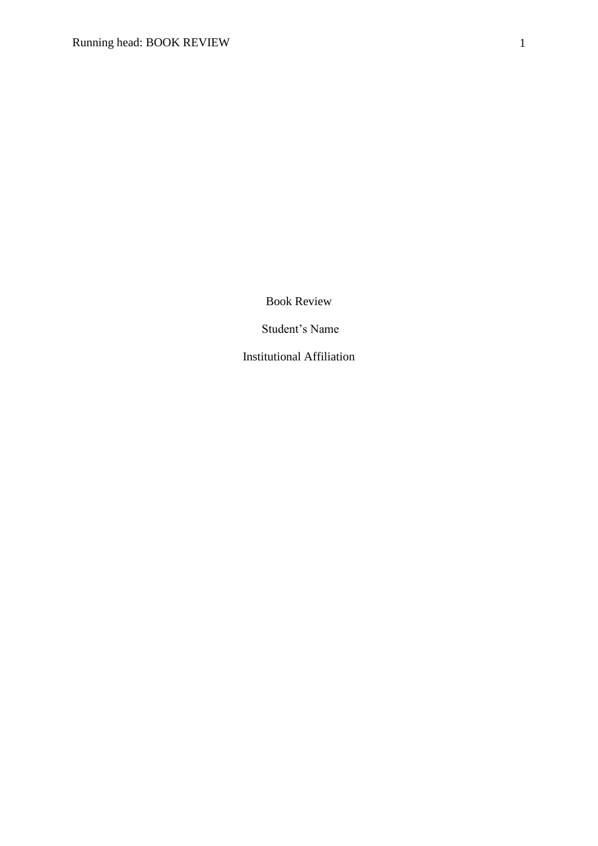Book Review

Student's Name

Institutional Affiliation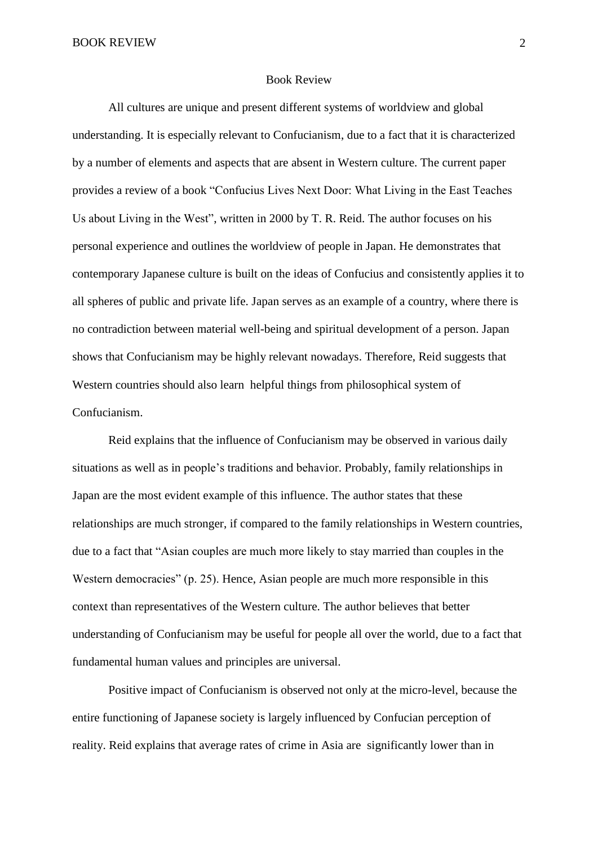## Book Review

All cultures are unique and present different systems of worldview and global understanding. It is especially relevant to Confucianism, due to a fact that it is characterized by a number of elements and aspects that are absent in Western culture. The current paper provides a review of a book "Confucius Lives Next Door: What Living in the East Teaches Us about Living in the West", written in 2000 by T. R. Reid. The author focuses on his personal experience and outlines the worldview of people in Japan. He demonstrates that contemporary Japanese culture is built on the ideas of Confucius and consistently applies it to all spheres of public and private life. Japan serves as an example of a country, where there is no contradiction between material well-being and spiritual development of a person. Japan shows that Confucianism may be highly relevant nowadays. Therefore, Reid suggests that Western countries should also learn helpful things from philosophical system of Confucianism.

Reid explains that the influence of Confucianism may be observed in various daily situations as well as in people's traditions and behavior. Probably, family relationships in Japan are the most evident example of this influence. The author states that these relationships are much stronger, if compared to the family relationships in Western countries, due to a fact that "Asian couples are much more likely to stay married than couples in the Western democracies" (p. 25). Hence, Asian people are much more responsible in this context than representatives of the Western culture. The author believes that better understanding of Confucianism may be useful for people all over the world, due to a fact that fundamental human values and principles are universal.

Positive impact of Confucianism is observed not only at the micro-level, because the entire functioning of Japanese society is largely influenced by Confucian perception of reality. Reid explains that average rates of crime in Asia are significantly lower than in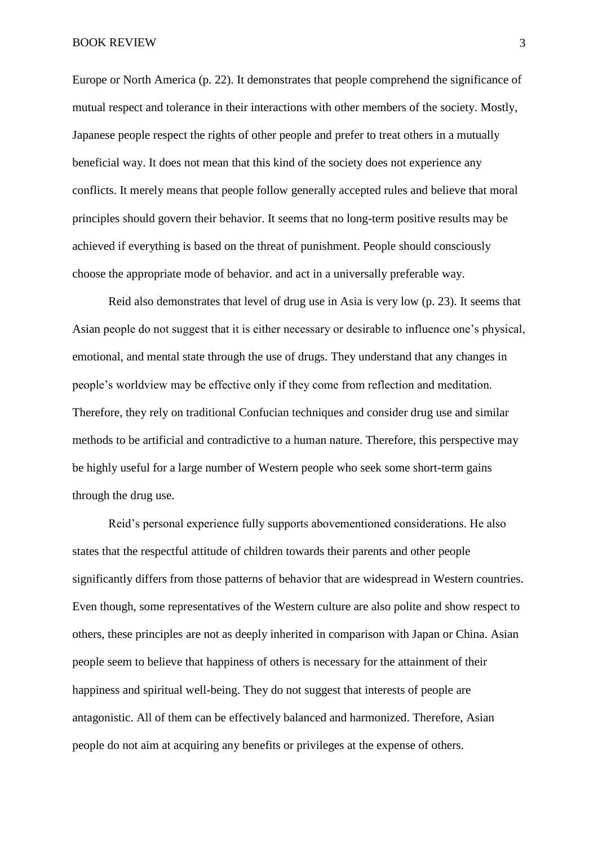Europe or North America (p. 22). It demonstrates that people comprehend the significance of mutual respect and tolerance in their interactions with other members of the society. Mostly, Japanese people respect the rights of other people and prefer to treat others in a mutually beneficial way. It does not mean that this kind of the society does not experience any conflicts. It merely means that people follow generally accepted rules and believe that moral principles should govern their behavior. It seems that no long-term positive results may be achieved if everything is based on the threat of punishment. People should consciously choose the appropriate mode of behavior. and act in a universally preferable way.

Reid also demonstrates that level of drug use in Asia is very low (p. 23). It seems that Asian people do not suggest that it is either necessary or desirable to influence one's physical, emotional, and mental state through the use of drugs. They understand that any changes in people's worldview may be effective only if they come from reflection and meditation. Therefore, they rely on traditional Confucian techniques and consider drug use and similar methods to be artificial and contradictive to a human nature. Therefore, this perspective may be highly useful for a large number of Western people who seek some short-term gains through the drug use.

Reid's personal experience fully supports abovementioned considerations. He also states that the respectful attitude of children towards their parents and other people significantly differs from those patterns of behavior that are widespread in Western countries. Even though, some representatives of the Western culture are also polite and show respect to others, these principles are not as deeply inherited in comparison with Japan or China. Asian people seem to believe that happiness of others is necessary for the attainment of their happiness and spiritual well-being. They do not suggest that interests of people are antagonistic. All of them can be effectively balanced and harmonized. Therefore, Asian people do not aim at acquiring any benefits or privileges at the expense of others.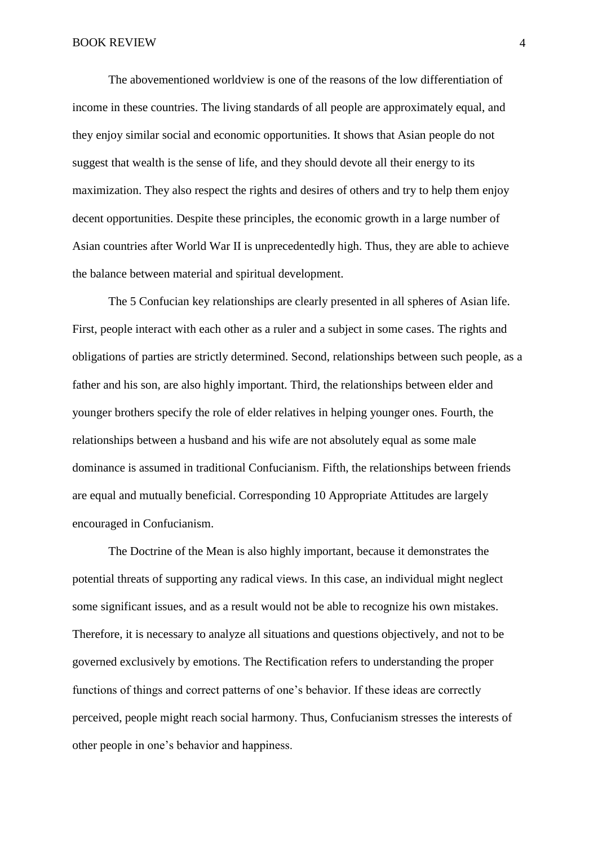The abovementioned worldview is one of the reasons of the low differentiation of income in these countries. The living standards of all people are approximately equal, and they enjoy similar social and economic opportunities. It shows that Asian people do not suggest that wealth is the sense of life, and they should devote all their energy to its maximization. They also respect the rights and desires of others and try to help them enjoy decent opportunities. Despite these principles, the economic growth in a large number of Asian countries after World War II is unprecedentedly high. Thus, they are able to achieve the balance between material and spiritual development.

The 5 Confucian key relationships are clearly presented in all spheres of Asian life. First, people interact with each other as a ruler and a subject in some cases. The rights and obligations of parties are strictly determined. Second, relationships between such people, as a father and his son, are also highly important. Third, the relationships between elder and younger brothers specify the role of elder relatives in helping younger ones. Fourth, the relationships between a husband and his wife are not absolutely equal as some male dominance is assumed in traditional Confucianism. Fifth, the relationships between friends are equal and mutually beneficial. Corresponding 10 Appropriate Attitudes are largely encouraged in Confucianism.

The Doctrine of the Mean is also highly important, because it demonstrates the potential threats of supporting any radical views. In this case, an individual might neglect some significant issues, and as a result would not be able to recognize his own mistakes. Therefore, it is necessary to analyze all situations and questions objectively, and not to be governed exclusively by emotions. The Rectification refers to understanding the proper functions of things and correct patterns of one's behavior. If these ideas are correctly perceived, people might reach social harmony. Thus, Confucianism stresses the interests of other people in one's behavior and happiness.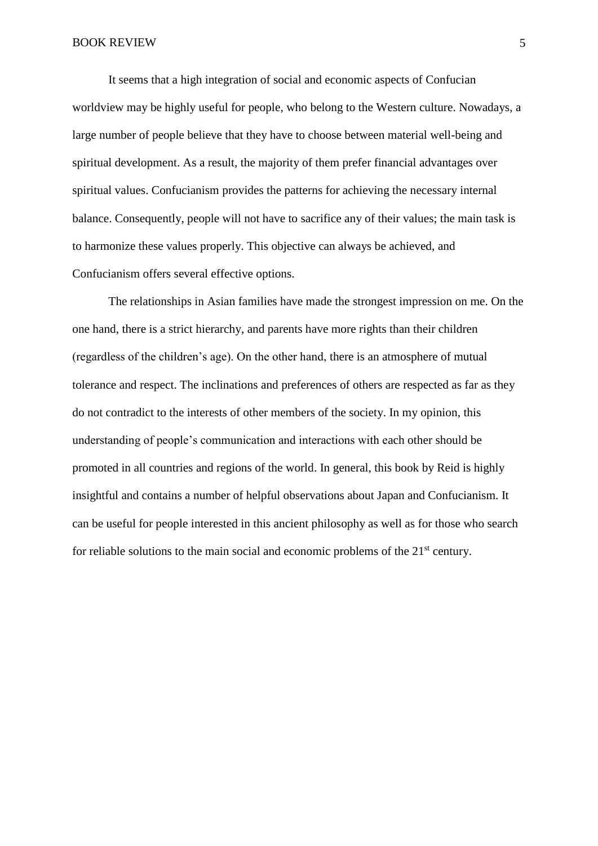It seems that a high integration of social and economic aspects of Confucian worldview may be highly useful for people, who belong to the Western culture. Nowadays, a large number of people believe that they have to choose between material well-being and spiritual development. As a result, the majority of them prefer financial advantages over spiritual values. Confucianism provides the patterns for achieving the necessary internal balance. Consequently, people will not have to sacrifice any of their values; the main task is to harmonize these values properly. This objective can always be achieved, and Confucianism offers several effective options.

The relationships in Asian families have made the strongest impression on me. On the one hand, there is a strict hierarchy, and parents have more rights than their children (regardless of the children's age). On the other hand, there is an atmosphere of mutual tolerance and respect. The inclinations and preferences of others are respected as far as they do not contradict to the interests of other members of the society. In my opinion, this understanding of people's communication and interactions with each other should be promoted in all countries and regions of the world. In general, this book by Reid is highly insightful and contains a number of helpful observations about Japan and Confucianism. It can be useful for people interested in this ancient philosophy as well as for those who search for reliable solutions to the main social and economic problems of the  $21<sup>st</sup>$  century.